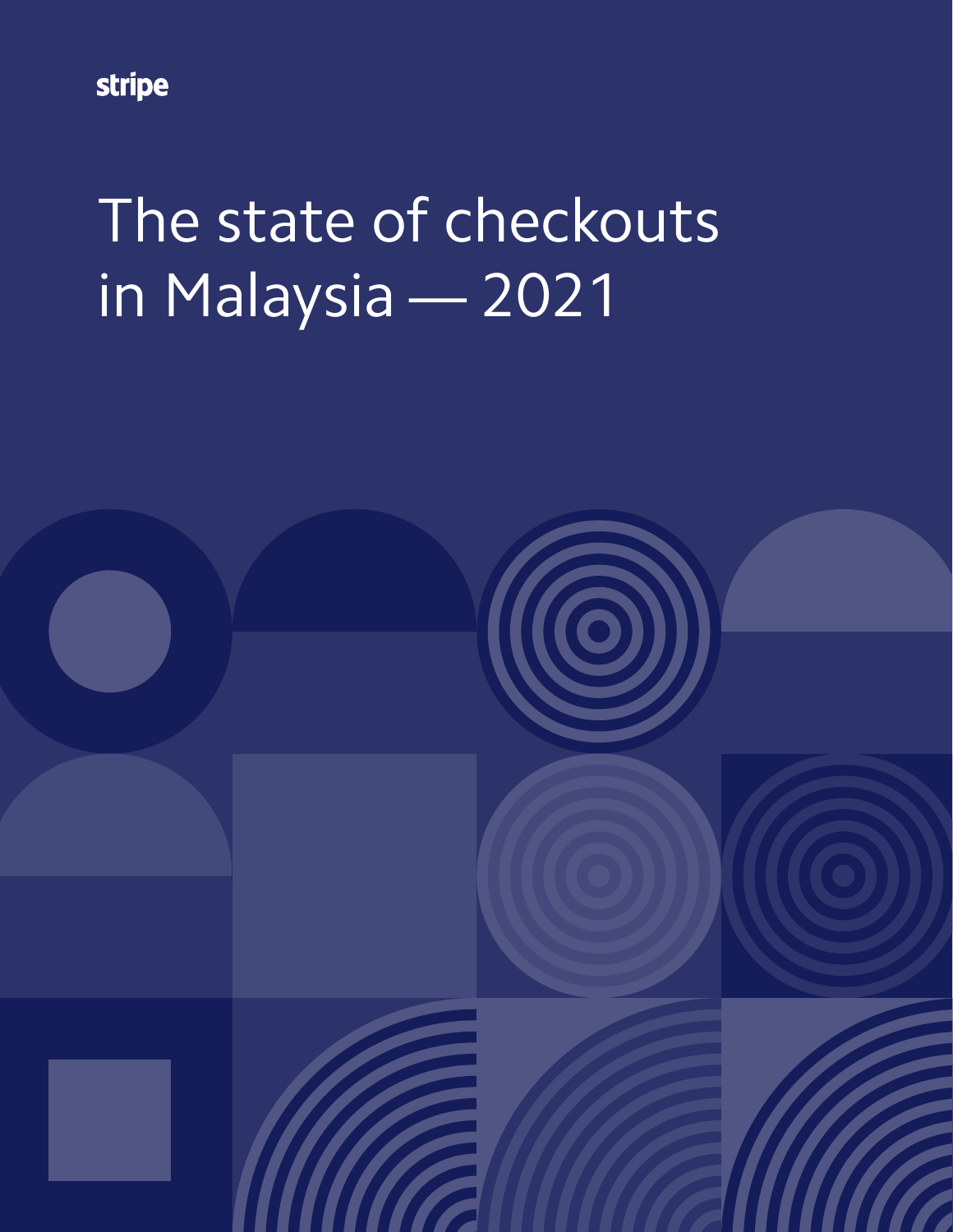stripe

# The state of checkouts in Malaysia — 2021

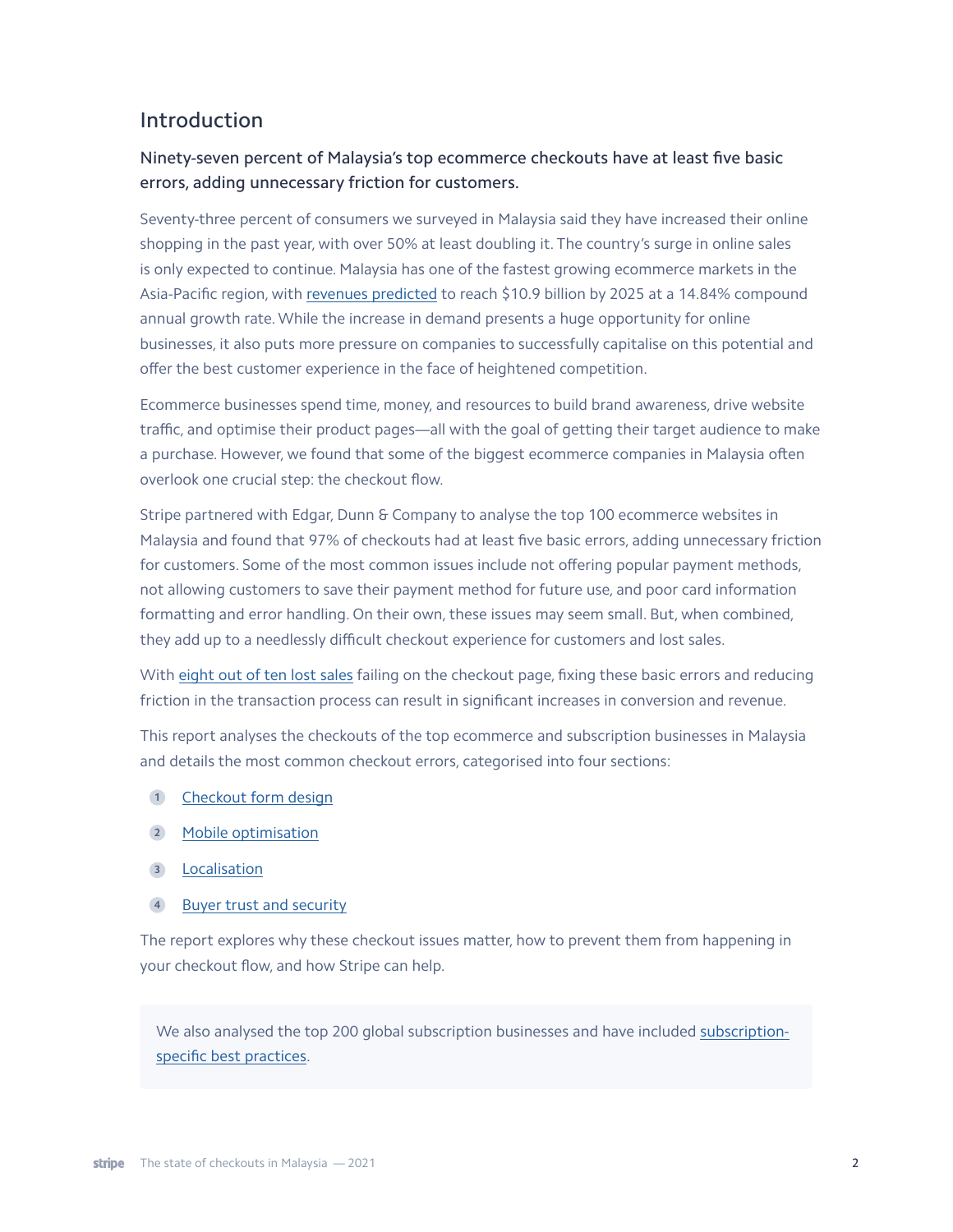## Introduction

## Ninety-seven percent of Malaysia's top ecommerce checkouts have at least five basic errors, adding unnecessary friction for customers.

Seventy-three percent of consumers we surveyed in Malaysia said they have increased their online shopping in the past year, with over 50% at least doubling it. The country's surge in online sales is only expected to continue. Malaysia has one of the fastest growing ecommerce markets in the Asia-Pacific region, with [revenues predicted](https://www.statista.com/outlook/dmo/ecommerce/malaysia) to reach \$10.9 billion by 2025 at a 14.84% compound annual growth rate. While the increase in demand presents a huge opportunity for online businesses, it also puts more pressure on companies to successfully capitalise on this potential and offer the best customer experience in the face of heightened competition.

Ecommerce businesses spend time, money, and resources to build brand awareness, drive website traffic, and optimise their product pages—all with the goal of getting their target audience to make a purchase. However, we found that some of the biggest ecommerce companies in Malaysia often overlook one crucial step: the checkout flow.

Stripe partnered with Edgar, Dunn & Company to analyse the top 100 ecommerce websites in Malaysia and found that 97% of checkouts had at least five basic errors, adding unnecessary friction for customers. Some of the most common issues include not offering popular payment methods, not allowing customers to save their payment method for future use, and poor card information formatting and error handling. On their own, these issues may seem small. But, when combined, they add up to a needlessly difficult checkout experience for customers and lost sales.

With [eight out of ten lost sales](https://www.statista.com/statistics/457078/category-cart-abandonment-rate-worldwide/) failing on the checkout page, fixing these basic errors and reducing friction in the transaction process can result in significant increases in conversion and revenue.

This report analyses the checkouts of the top ecommerce and subscription businesses in Malaysia and details the most common checkout errors, categorised into four sections:

- 1 [Checkout form design](#page-2-0)
- [Mobile optimisation](#page-3-0) **2**
- [Localisation](#page-5-0) **3**
- [Buyer trust and security](#page-6-0) **4**

The report explores why these checkout issues matter, how to prevent them from happening in your checkout flow, and how Stripe can help.

We also analysed the top 200 global subscription businesses and have included [subscription](#page-7-0)[specific best practices.](#page-7-0)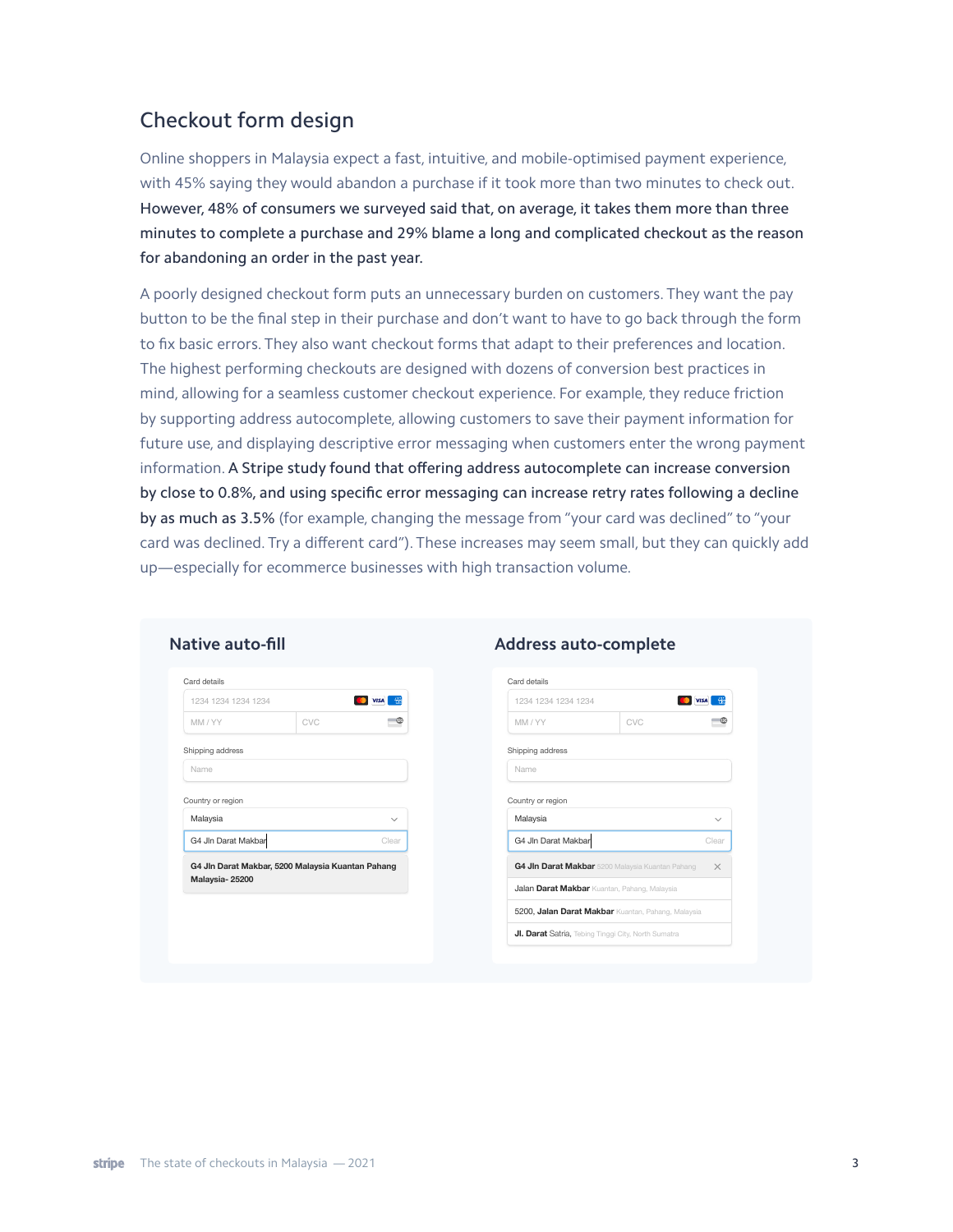# <span id="page-2-0"></span>Checkout form design

Online shoppers in Malaysia expect a fast, intuitive, and mobile-optimised payment experience, with 45% saying they would abandon a purchase if it took more than two minutes to check out. However, 48% of consumers we surveyed said that, on average, it takes them more than three minutes to complete a purchase and 29% blame a long and complicated checkout as the reason for abandoning an order in the past year.

A poorly designed checkout form puts an unnecessary burden on customers. They want the pay button to be the final step in their purchase and don't want to have to go back through the form to fix basic errors. They also want checkout forms that adapt to their preferences and location. The highest performing checkouts are designed with dozens of conversion best practices in mind, allowing for a seamless customer checkout experience. For example, they reduce friction by supporting address autocomplete, allowing customers to save their payment information for future use, and displaying descriptive error messaging when customers enter the wrong payment information. A Stripe study found that offering address autocomplete can increase conversion by close to 0.8%, and using specific error messaging can increase retry rates following a decline by as much as 3.5% (for example, changing the message from "your card was declined" to "your card was declined. Try a different card"). These increases may seem small, but they can quickly add up—especially for ecommerce businesses with high transaction volume.

| 1234 1234 1234 1234                                                 |     | <b>D</b> VISA<br>僟 |
|---------------------------------------------------------------------|-----|--------------------|
| MM / YY                                                             | CVC |                    |
| Shipping address                                                    |     |                    |
| Name                                                                |     |                    |
| Malaysia                                                            |     |                    |
| G4 Jln Darat Makbar                                                 |     | Clear              |
|                                                                     |     |                    |
| G4 Jln Darat Makbar, 5200 Malaysia Kuantan Pahang<br>Malaysia-25200 |     |                    |

#### **Native auto-fill Address auto-complete**

| Card details                                                             |     |                   |
|--------------------------------------------------------------------------|-----|-------------------|
| 1234 1234 1234 1234                                                      |     | <b>VISA</b><br>49 |
| MM / YY                                                                  | CVC |                   |
| Shipping address                                                         |     |                   |
| Name                                                                     |     |                   |
|                                                                          |     |                   |
|                                                                          |     |                   |
| Malaysia<br>G4 Jln Darat Makbar                                          |     | Clear             |
| G4 Jin Darat Makbar 5200 Malaysia Kuantan Pahang                         |     | ×                 |
| Country or region<br><b>Jalan Darat Makbar</b> Kuantan, Pahang, Malaysia |     |                   |
| 5200, Jalan Darat Makbar Kuantan, Pahang, Malaysia                       |     |                   |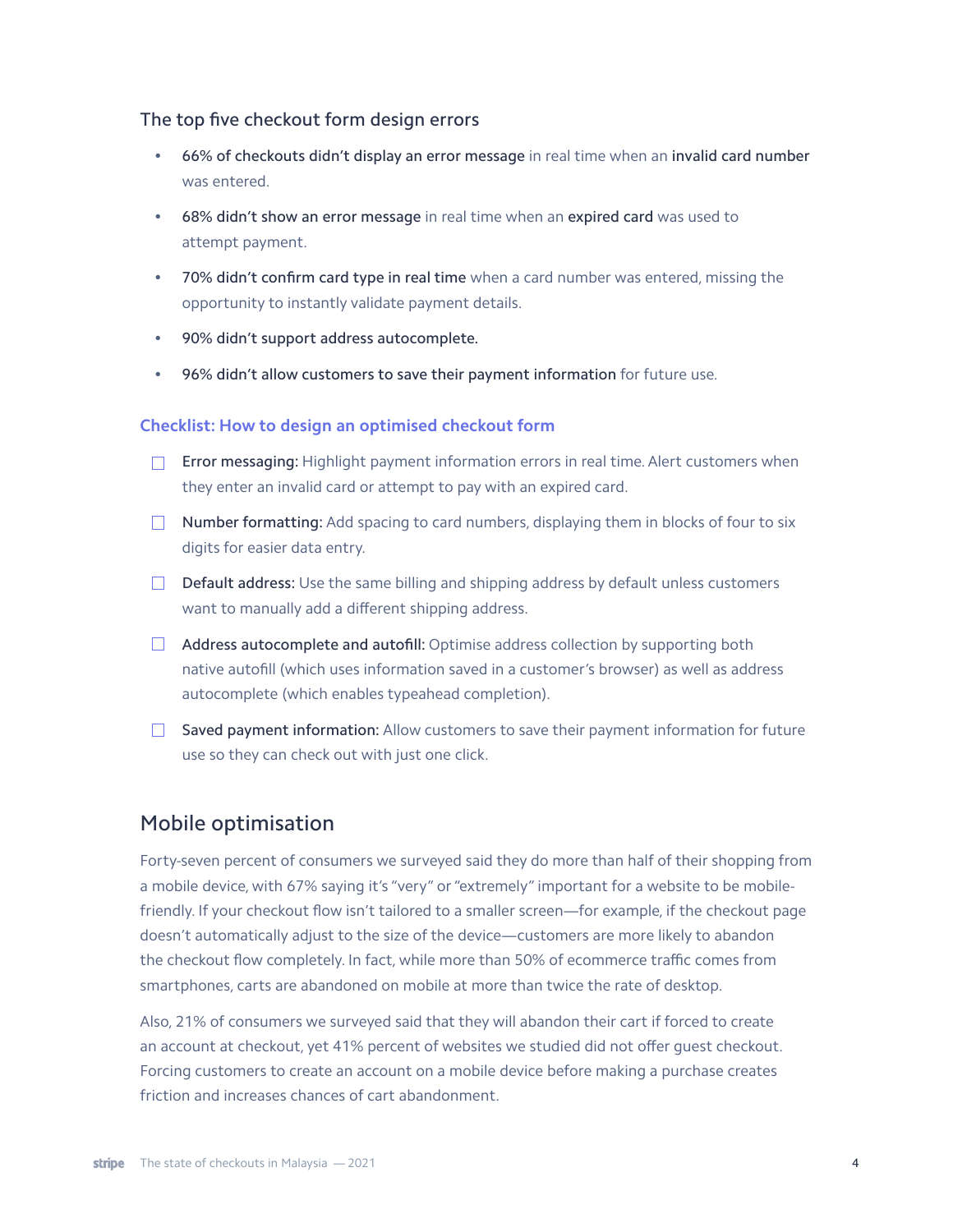#### The top five checkout form design errors

- 66% of checkouts didn't display an error message in real time when an invalid card number was entered.
- 68% didn't show an error message in real time when an expired card was used to attempt payment.
- 70% didn't confirm card type in real time when a card number was entered, missing the opportunity to instantly validate payment details.
- 90% didn't support address autocomplete.
- 96% didn't allow customers to save their payment information for future use.

#### **Checklist: How to design an optimised checkout form**

- **Error messaging:** Highlight payment information errors in real time. Alert customers when they enter an invalid card or attempt to pay with an expired card.
- $\Box$  Number formatting: Add spacing to card numbers, displaying them in blocks of four to six digits for easier data entry.
- $\Box$  Default address: Use the same billing and shipping address by default unless customers want to manually add a different shipping address.
- $\Box$  Address autocomplete and autofill: Optimise address collection by supporting both native autofill (which uses information saved in a customer's browser) as well as address autocomplete (which enables typeahead completion).
- $\Box$  Saved payment information: Allow customers to save their payment information for future use so they can check out with just one click.

## <span id="page-3-0"></span>Mobile optimisation

Forty-seven percent of consumers we surveyed said they do more than half of their shopping from a mobile device, with 67% saying it's "very" or "extremely" important for a website to be mobilefriendly. If your checkout flow isn't tailored to a smaller screen—for example, if the checkout page doesn't automatically adjust to the size of the device—customers are more likely to abandon the checkout flow completely. In fact, while more than 50% of ecommerce traffic comes from smartphones, carts are abandoned on mobile at more than twice the rate of desktop.

Also, 21% of consumers we surveyed said that they will abandon their cart if forced to create an account at checkout, yet 41% percent of websites we studied did not offer guest checkout. Forcing customers to create an account on a mobile device before making a purchase creates friction and increases chances of cart abandonment.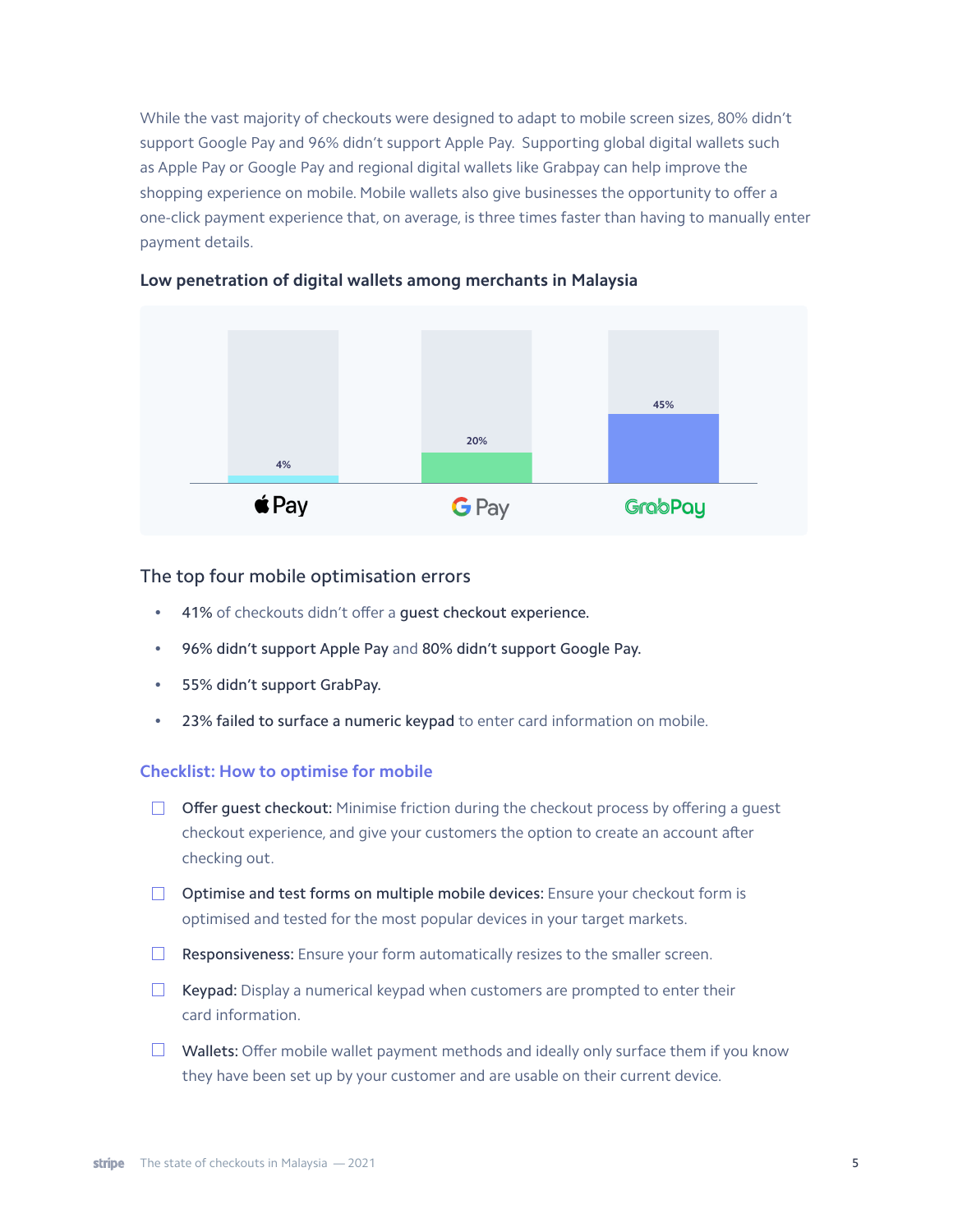While the vast majority of checkouts were designed to adapt to mobile screen sizes, 80% didn't support Google Pay and 96% didn't support Apple Pay. Supporting global digital wallets such as Apple Pay or Google Pay and regional digital wallets like Grabpay can help improve the shopping experience on mobile. Mobile wallets also give businesses the opportunity to offer a one-click payment experience that, on average, is three times faster than having to manually enter payment details.



#### **Low penetration of digital wallets among merchants in Malaysia**

#### The top four mobile optimisation errors

- 41% of checkouts didn't offer a guest checkout experience.
- 96% didn't support Apple Pay and 80% didn't support Google Pay.
- 55% didn't support GrabPay.
- 23% failed to surface a numeric keypad to enter card information on mobile.

#### **Checklist: How to optimise for mobile**

- $\Box$  Offer quest checkout: Minimise friction during the checkout process by offering a quest checkout experience, and give your customers the option to create an account after checking out.
- $\Box$  Optimise and test forms on multiple mobile devices: Ensure your checkout form is optimised and tested for the most popular devices in your target markets.
- $\Box$  Responsiveness: Ensure your form automatically resizes to the smaller screen.
- $\Box$  Keypad: Display a numerical keypad when customers are prompted to enter their card information.
- $\Box$  Wallets: Offer mobile wallet payment methods and ideally only surface them if you know they have been set up by your customer and are usable on their current device.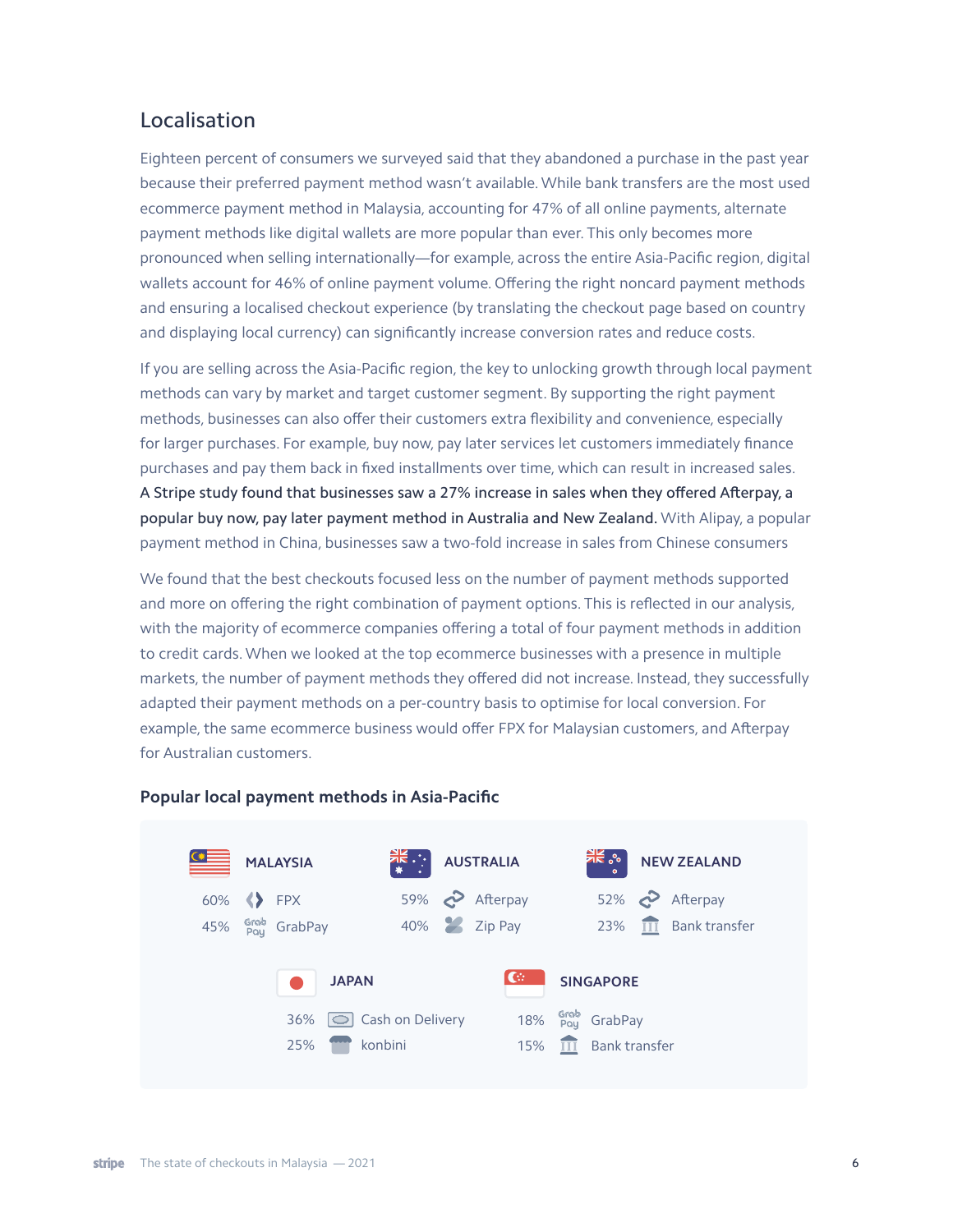## <span id="page-5-0"></span>Localisation

Eighteen percent of consumers we surveyed said that they abandoned a purchase in the past year because their preferred payment method wasn't available. While bank transfers are the most used ecommerce payment method in Malaysia, accounting for 47% of all online payments, alternate payment methods like digital wallets are more popular than ever. This only becomes more pronounced when selling internationally—for example, across the entire Asia-Pacific region, digital wallets account for 46% of online payment volume. Offering the right noncard payment methods and ensuring a localised checkout experience (by translating the checkout page based on country and displaying local currency) can significantly increase conversion rates and reduce costs.

If you are selling across the Asia-Pacific region, the key to unlocking growth through local payment methods can vary by market and target customer segment. By supporting the right payment methods, businesses can also offer their customers extra flexibility and convenience, especially for larger purchases. For example, buy now, pay later services let customers immediately finance purchases and pay them back in fixed installments over time, which can result in increased sales. A Stripe study found that businesses saw a 27% increase in sales when they offered Afterpay, a popular buy now, pay later payment method in Australia and New Zealand. With Alipay, a popular payment method in China, businesses saw a two-fold increase in sales from Chinese consumers

We found that the best checkouts focused less on the number of payment methods supported and more on offering the right combination of payment options. This is reflected in our analysis, with the majority of ecommerce companies offering a total of four payment methods in addition to credit cards. When we looked at the top ecommerce businesses with a presence in multiple markets, the number of payment methods they offered did not increase. Instead, they successfully adapted their payment methods on a per-country basis to optimise for local conversion. For example, the same ecommerce business would offer FPX for Malaysian customers, and Afterpay for Australian customers.



#### **Popular local payment methods in Asia-Pacific**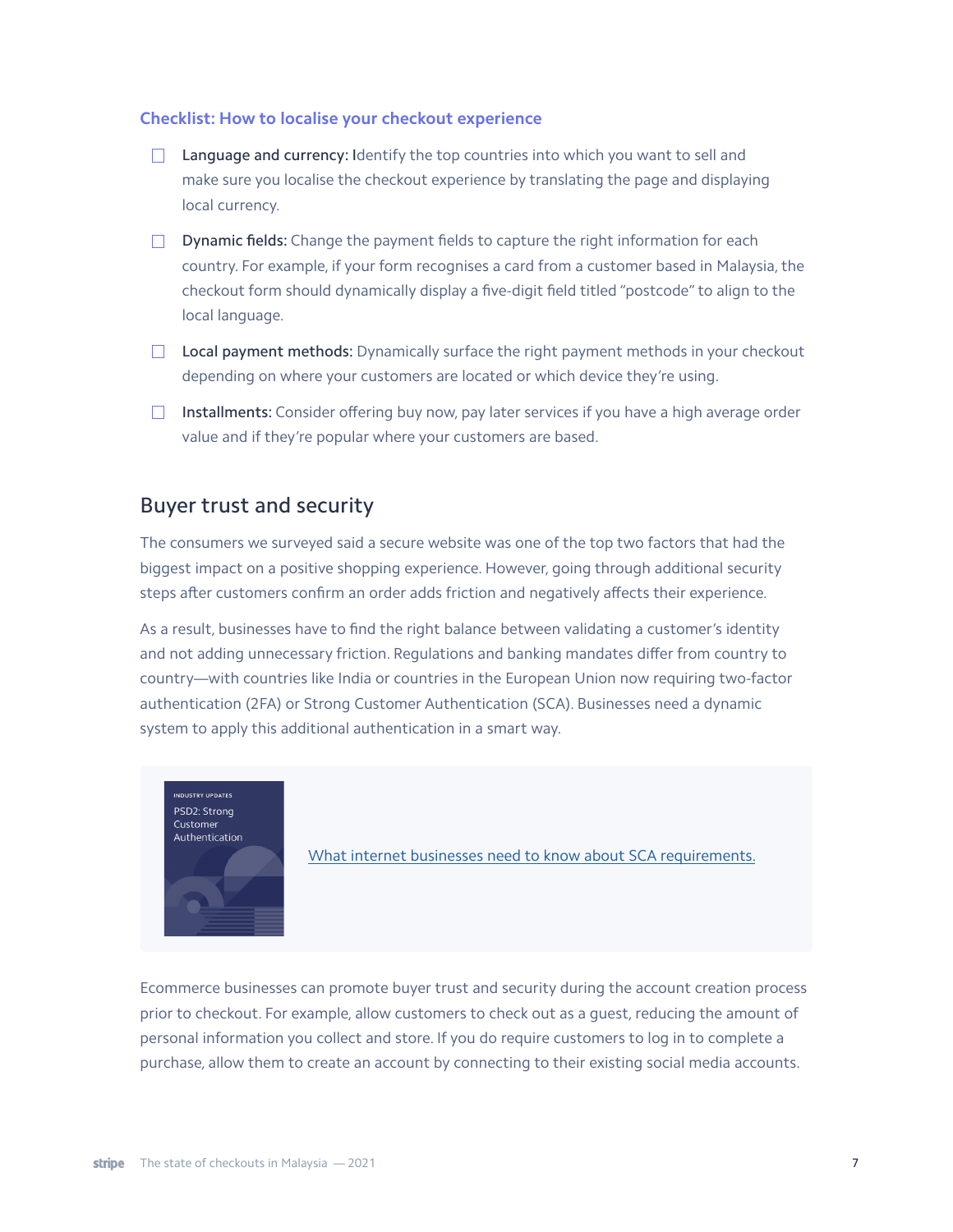#### **Checklist: How to localise your checkout experience**

- **Language and currency:** Identify the top countries into which you want to sell and make sure you localise the checkout experience by translating the page and displaying local currency.
- $\nabla$  **Dynamic fields:** Change the payment fields to capture the right information for each country. For example, if your form recognises a card from a customer based in Malaysia, the checkout form should dynamically display a five-digit field titled "postcode" to align to the local language.
- $\Box$  Local payment methods: Dynamically surface the right payment methods in your checkout depending on where your customers are located or which device they're using.
- $\Box$  Installments: Consider offering buy now, pay later services if you have a high average order value and if they're popular where your customers are based.

## <span id="page-6-0"></span>Buyer trust and security

The consumers we surveyed said a secure website was one of the top two factors that had the biggest impact on a positive shopping experience. However, going through additional security steps after customers confirm an order adds friction and negatively affects their experience.

As a result, businesses have to find the right balance between validating a customer's identity and not adding unnecessary friction. Regulations and banking mandates differ from country to country—with countries like India or countries in the European Union now requiring two-factor authentication (2FA) or Strong Customer Authentication (SCA). Businesses need a dynamic system to apply this additional authentication in a smart way.



[What internet businesses need to know about SCA requirements.](https://stripe.com/guides/strong-customer-authentication)

Ecommerce businesses can promote buyer trust and security during the account creation process prior to checkout. For example, allow customers to check out as a guest, reducing the amount of personal information you collect and store. If you do require customers to log in to complete a purchase, allow them to create an account by connecting to their existing social media accounts.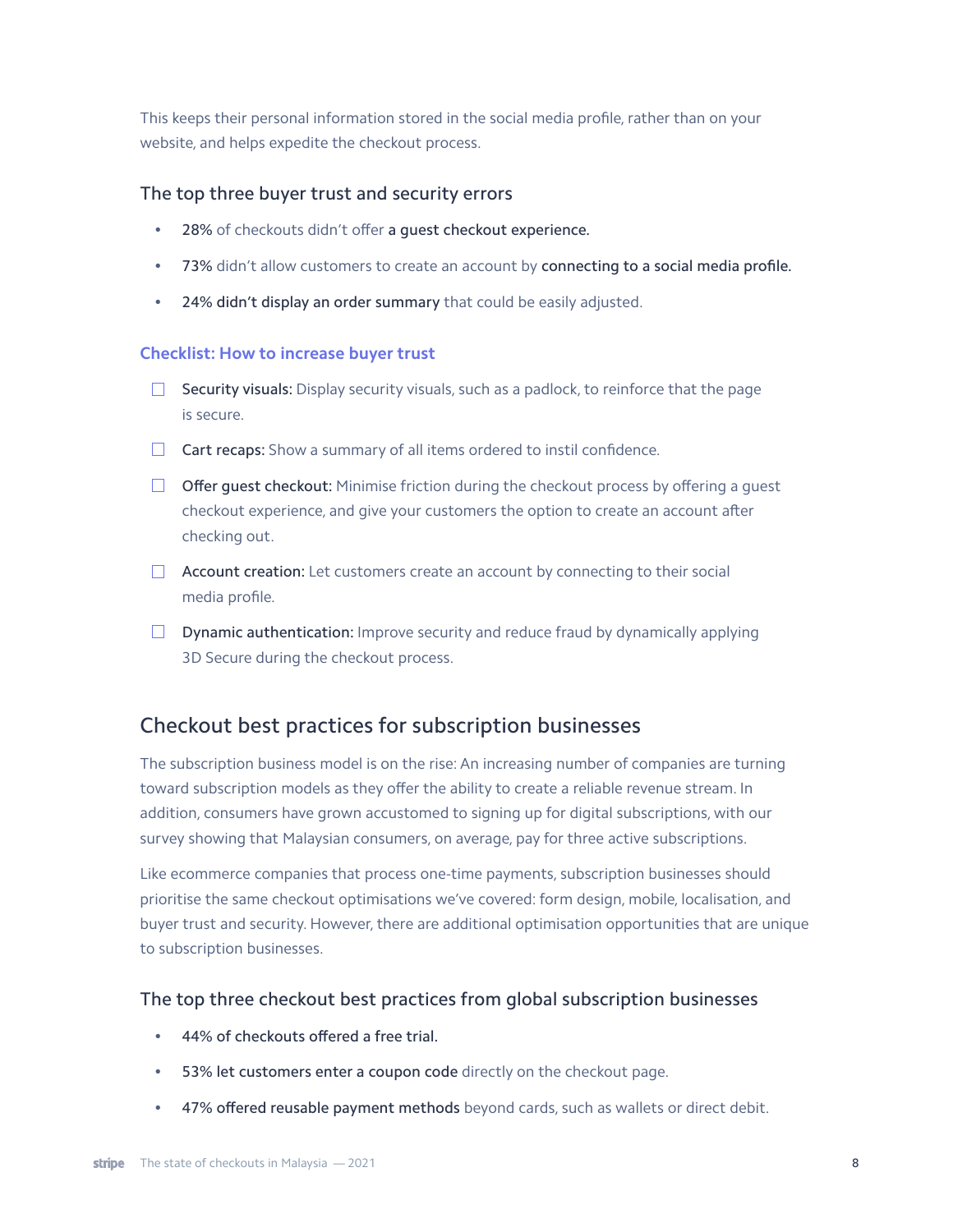This keeps their personal information stored in the social media profile, rather than on your website, and helps expedite the checkout process.

#### The top three buyer trust and security errors

- 28% of checkouts didn't offer a guest checkout experience.
- 73% didn't allow customers to create an account by connecting to a social media profile.
- 24% didn't display an order summary that could be easily adjusted.

#### **Checklist: How to increase buyer trust**

- $\Box$  Security visuals: Display security visuals, such as a padlock, to reinforce that the page is secure.
- $\Box$  Cart recaps: Show a summary of all items ordered to instil confidence.
- $\Box$  Offer quest checkout: Minimise friction during the checkout process by offering a quest checkout experience, and give your customers the option to create an account after checking out.
- **Account creation:** Let customers create an account by connecting to their social media profile.
- $\Box$  Dynamic authentication: Improve security and reduce fraud by dynamically applying 3D Secure during the checkout process.

## <span id="page-7-0"></span>Checkout best practices for subscription businesses

The subscription business model is on the rise: An increasing number of companies are turning toward subscription models as they offer the ability to create a reliable revenue stream. In addition, consumers have grown accustomed to signing up for digital subscriptions, with our survey showing that Malaysian consumers, on average, pay for three active subscriptions.

Like ecommerce companies that process one-time payments, subscription businesses should prioritise the same checkout optimisations we've covered: form design, mobile, localisation, and buyer trust and security. However, there are additional optimisation opportunities that are unique to subscription businesses.

### The top three checkout best practices from global subscription businesses

- 44% of checkouts offered a free trial.
- 53% let customers enter a coupon code directly on the checkout page.
- 47% offered reusable payment methods beyond cards, such as wallets or direct debit.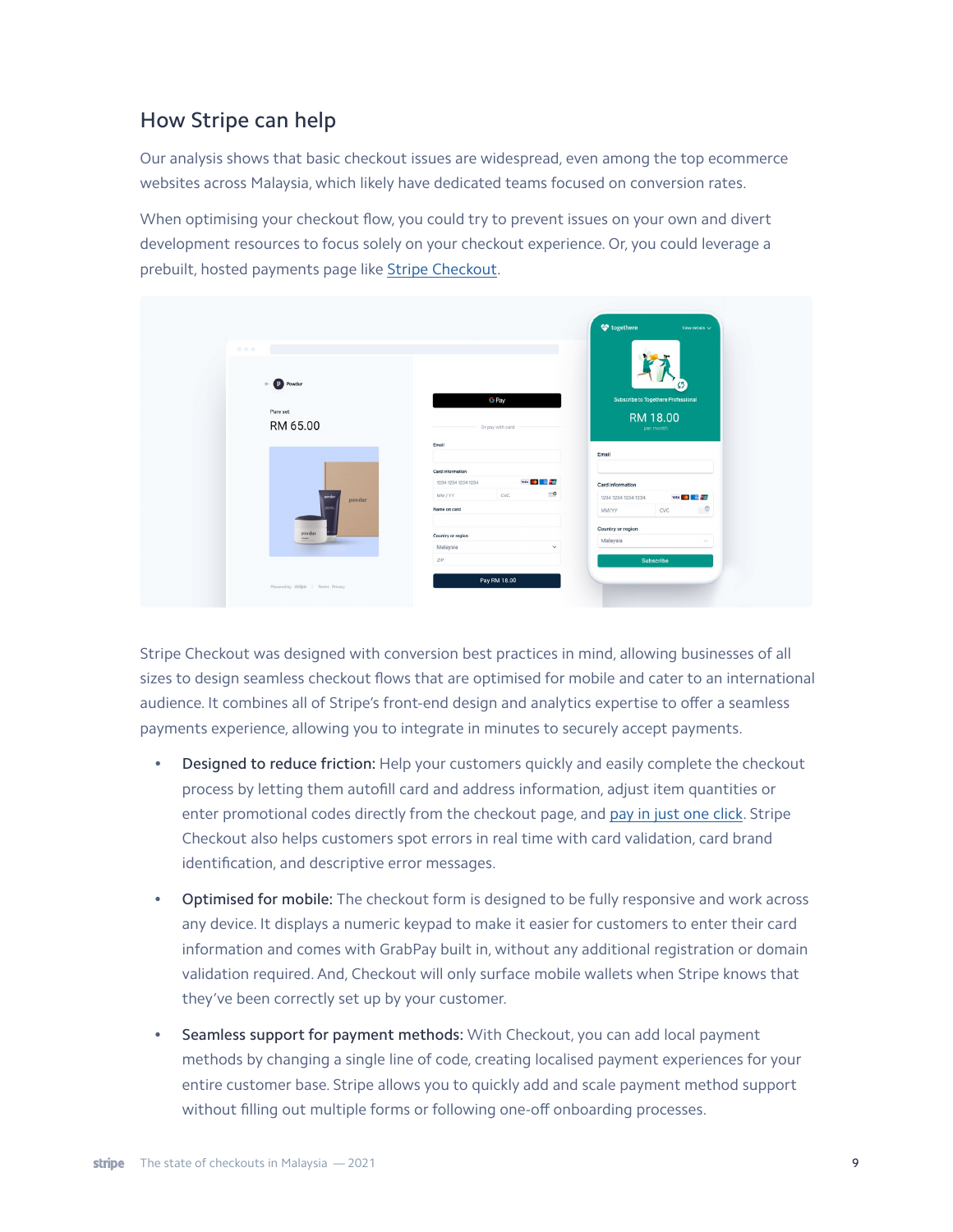# How Stripe can help

Our analysis shows that basic checkout issues are widespread, even among the top ecommerce websites across Malaysia, which likely have dedicated teams focused on conversion rates.

When optimising your checkout flow, you could try to prevent issues on your own and divert development resources to focus solely on your checkout experience. Or, you could leverage a prebuilt, hosted payments page like [Stripe Checkout.](https://stripe.com/payments/checkout)



Stripe Checkout was designed with conversion best practices in mind, allowing businesses of all sizes to design seamless checkout flows that are optimised for mobile and cater to an international audience. It combines all of Stripe's front-end design and analytics expertise to offer a seamless payments experience, allowing you to integrate in minutes to securely accept payments.

- Designed to reduce friction: Help your customers quickly and easily complete the checkout process by letting them autofill card and address information, adjust item quantities or enter promotional codes directly from the checkout page, and [pay in just one click.](https://support.stripe.com/questions/using-link-with-stripe-to-save-your-payment-information) Stripe Checkout also helps customers spot errors in real time with card validation, card brand identification, and descriptive error messages.
- Optimised for mobile: The checkout form is designed to be fully responsive and work across any device. It displays a numeric keypad to make it easier for customers to enter their card information and comes with GrabPay built in, without any additional registration or domain validation required. And, Checkout will only surface mobile wallets when Stripe knows that they've been correctly set up by your customer.
- Seamless support for payment methods: With Checkout, you can add local payment methods by changing a single line of code, creating localised payment experiences for your entire customer base. Stripe allows you to quickly add and scale payment method support without filling out multiple forms or following one-off onboarding processes.